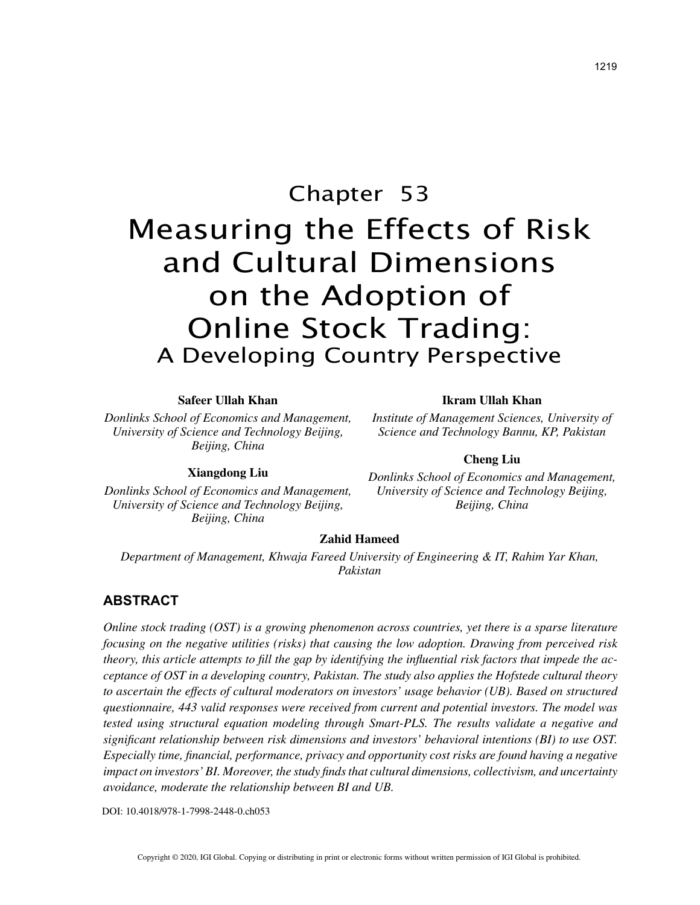# Chapter 53 Measuring the Effects of Risk and Cultural Dimensions on the Adoption of Online Stock Trading: A Developing Country Perspective

#### **Safeer Ullah Khan**

*Donlinks School of Economics and Management, University of Science and Technology Beijing, Beijing, China*

## **Xiangdong Liu**

*Donlinks School of Economics and Management, University of Science and Technology Beijing, Beijing, China*

#### **Ikram Ullah Khan**

*Institute of Management Sciences, University of Science and Technology Bannu, KP, Pakistan*

## **Cheng Liu**

*Donlinks School of Economics and Management, University of Science and Technology Beijing, Beijing, China*

#### **Zahid Hameed**

*Department of Management, Khwaja Fareed University of Engineering & IT, Rahim Yar Khan, Pakistan*

## **ABSTRACT**

*Online stock trading (OST) is a growing phenomenon across countries, yet there is a sparse literature focusing on the negative utilities (risks) that causing the low adoption. Drawing from perceived risk theory, this article attempts to fill the gap by identifying the influential risk factors that impede the acceptance of OST in a developing country, Pakistan. The study also applies the Hofstede cultural theory to ascertain the effects of cultural moderators on investors' usage behavior (UB). Based on structured questionnaire, 443 valid responses were received from current and potential investors. The model was tested using structural equation modeling through Smart-PLS. The results validate a negative and significant relationship between risk dimensions and investors' behavioral intentions (BI) to use OST. Especially time, financial, performance, privacy and opportunity cost risks are found having a negative impact on investors' BI. Moreover, the study finds that cultural dimensions, collectivism, and uncertainty avoidance, moderate the relationship between BI and UB.*

DOI: 10.4018/978-1-7998-2448-0.ch053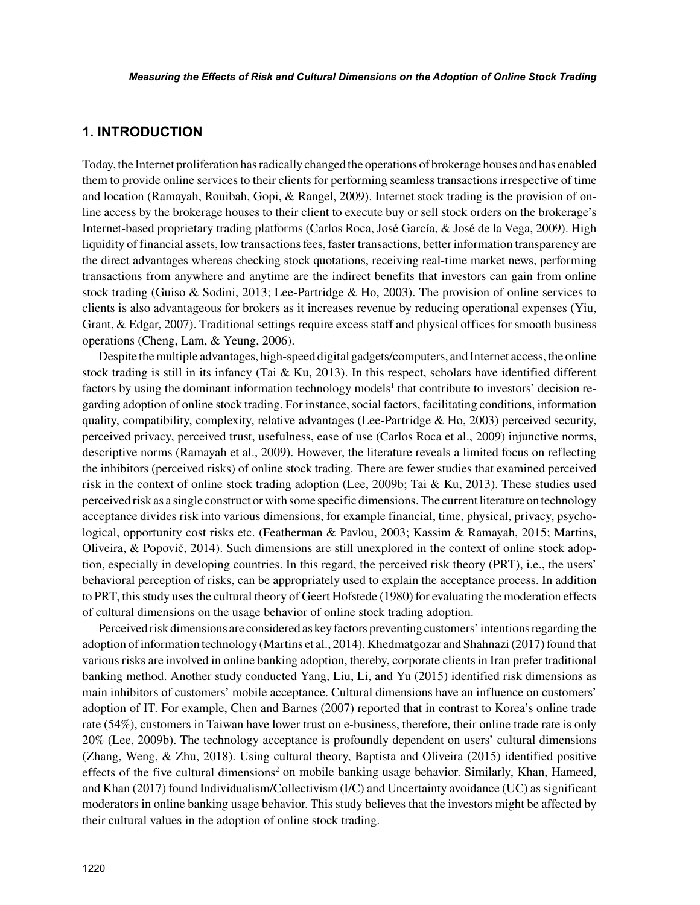## **1. INTRODUCTION**

Today, the Internet proliferation has radically changed the operations of brokerage houses and has enabled them to provide online services to their clients for performing seamless transactions irrespective of time and location (Ramayah, Rouibah, Gopi, & Rangel, 2009). Internet stock trading is the provision of online access by the brokerage houses to their client to execute buy or sell stock orders on the brokerage's Internet-based proprietary trading platforms (Carlos Roca, José García, & José de la Vega, 2009). High liquidity of financial assets, low transactions fees, faster transactions, better information transparency are the direct advantages whereas checking stock quotations, receiving real-time market news, performing transactions from anywhere and anytime are the indirect benefits that investors can gain from online stock trading (Guiso & Sodini, 2013; Lee-Partridge & Ho, 2003). The provision of online services to clients is also advantageous for brokers as it increases revenue by reducing operational expenses (Yiu, Grant, & Edgar, 2007). Traditional settings require excess staff and physical offices for smooth business operations (Cheng, Lam, & Yeung, 2006).

Despite the multiple advantages, high-speed digital gadgets/computers, and Internet access, the online stock trading is still in its infancy (Tai & Ku, 2013). In this respect, scholars have identified different factors by using the dominant information technology models<sup>1</sup> that contribute to investors' decision regarding adoption of online stock trading. For instance, social factors, facilitating conditions, information quality, compatibility, complexity, relative advantages (Lee-Partridge  $\&$  Ho, 2003) perceived security, perceived privacy, perceived trust, usefulness, ease of use (Carlos Roca et al., 2009) injunctive norms, descriptive norms (Ramayah et al., 2009). However, the literature reveals a limited focus on reflecting the inhibitors (perceived risks) of online stock trading. There are fewer studies that examined perceived risk in the context of online stock trading adoption (Lee, 2009b; Tai & Ku, 2013). These studies used perceived risk as a single construct or with some specific dimensions. The current literature on technology acceptance divides risk into various dimensions, for example financial, time, physical, privacy, psychological, opportunity cost risks etc. (Featherman & Pavlou, 2003; Kassim & Ramayah, 2015; Martins, Oliveira, & Popovič, 2014). Such dimensions are still unexplored in the context of online stock adoption, especially in developing countries. In this regard, the perceived risk theory (PRT), i.e., the users' behavioral perception of risks, can be appropriately used to explain the acceptance process. In addition to PRT, this study uses the cultural theory of Geert Hofstede (1980) for evaluating the moderation effects of cultural dimensions on the usage behavior of online stock trading adoption.

Perceived risk dimensions are considered as key factors preventing customers' intentions regarding the adoption of information technology (Martins et al., 2014). Khedmatgozar and Shahnazi (2017) found that various risks are involved in online banking adoption, thereby, corporate clients in Iran prefer traditional banking method. Another study conducted Yang, Liu, Li, and Yu (2015) identified risk dimensions as main inhibitors of customers' mobile acceptance. Cultural dimensions have an influence on customers' adoption of IT. For example, Chen and Barnes (2007) reported that in contrast to Korea's online trade rate (54%), customers in Taiwan have lower trust on e-business, therefore, their online trade rate is only 20% (Lee, 2009b). The technology acceptance is profoundly dependent on users' cultural dimensions (Zhang, Weng, & Zhu, 2018). Using cultural theory, Baptista and Oliveira (2015) identified positive effects of the five cultural dimensions<sup>2</sup> on mobile banking usage behavior. Similarly, Khan, Hameed, and Khan (2017) found Individualism/Collectivism (I/C) and Uncertainty avoidance (UC) as significant moderators in online banking usage behavior. This study believes that the investors might be affected by their cultural values in the adoption of online stock trading.